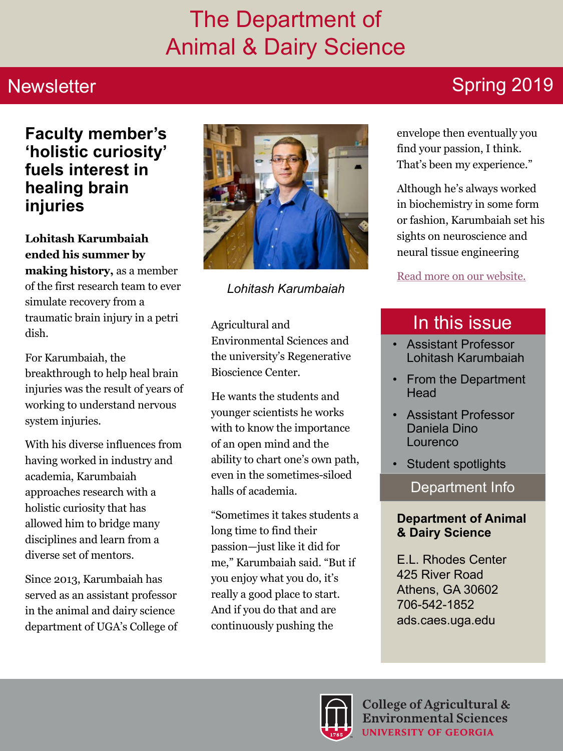## The Department of Animal & Dairy Science

#### **Newsletter**

#### **Faculty member's 'holistic curiosity' fuels interest in healing brain injuries**

**Lohitash Karumbaiah ended his summer by making history,** as a member of the first research team to ever simulate recovery from a traumatic brain injury in a petri dish.

For Karumbaiah, the breakthrough to help heal brain injuries was the result of years of working to understand nervous system injuries.

With his diverse influences from having worked in industry and academia, Karumbaiah approaches research with a holistic curiosity that has allowed him to bridge many disciplines and learn from a diverse set of mentors.

Since 2013, Karumbaiah has served as an assistant professor in the animal and dairy science department of UGA's College of



*Lohitash Karumbaiah*

Agricultural and Environmental Sciences and the university's Regenerative Bioscience Center.

He wants the students and younger scientists he works with to know the importance of an open mind and the ability to chart one's own path, even in the sometimes-siloed halls of academia.

"Sometimes it takes students a long time to find their passion—just like it did for me," Karumbaiah said. "But if you enjoy what you do, it's really a good place to start. And if you do that and are continuously pushing the

## Spring 2019

envelope then eventually you find your passion, I think. That's been my experience."

Although he's always worked in biochemistry in some form or fashion, Karumbaiah set his sights on neuroscience and neural tissue engineering

#### [Read more on our website.](https://news.uga.edu/faculty-members-holistic-curiosity-fuels-interest-in-healing-brain-injuries/)

## In this issue

- Assistant Professor Lohitash Karumbaiah
- From the Department **Head**
- Assistant Professor Daniela Dino Lourenco
- Student spotlights

Department Info

#### **Department of Animal & Dairy Science**

E.L. Rhodes Center 425 River Road Athens, GA 30602 706-542-1852 ads.caes.uga.edu

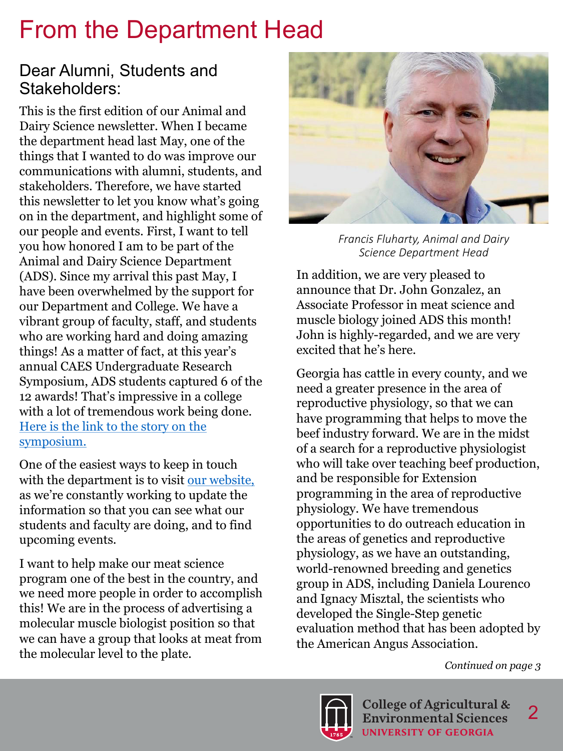## From the Department Head

#### Dear Alumni, Students and Stakeholders:

This is the first edition of our Animal and Dairy Science newsletter. When I became the department head last May, one of the things that I wanted to do was improve our communications with alumni, students, and stakeholders. Therefore, we have started this newsletter to let you know what's going on in the department, and highlight some of our people and events. First, I want to tell you how honored I am to be part of the Animal and Dairy Science Department (ADS). Since my arrival this past May, I have been overwhelmed by the support for our Department and College. We have a vibrant group of faculty, staff, and students who are working hard and doing amazing things! As a matter of fact, at this year's annual CAES Undergraduate Research Symposium, ADS students captured 6 of the 12 awards! That's impressive in a college with a lot of tremendous work being done. [Here is the link to the story on the](http://www.caes.uga.edu/news-events/news/story.html?storyid=7925)  [symposium.](http://www.caes.uga.edu/news-events/news/story.html?storyid=7925) 

One of the easiest ways to keep in touch with the department is to visit our website, as we're constantly working to update the information so that you can see what our students and faculty are doing, and to find upcoming events.

I want to help make our meat science program one of the best in the country, and we need more people in order to accomplish this! We are in the process of advertising a molecular muscle biologist position so that we can have a group that looks at meat from the molecular level to the plate.



*Francis Fluharty, Animal and Dairy Science Department Head*

In addition, we are very pleased to announce that Dr. John Gonzalez, an Associate Professor in meat science and muscle biology joined ADS this month! John is highly-regarded, and we are very excited that he's here.

Georgia has cattle in every county, and we need a greater presence in the area of reproductive physiology, so that we can have programming that helps to move the beef industry forward. We are in the midst of a search for a reproductive physiologist who will take over teaching beef production, and be responsible for Extension programming in the area of reproductive physiology. We have tremendous opportunities to do outreach education in the areas of genetics and reproductive physiology, as we have an outstanding, world-renowned breeding and genetics group in ADS, including Daniela Lourenco and Ignacy Misztal, the scientists who developed the Single-Step genetic evaluation method that has been adopted by the American Angus Association.

#### *Continued on page 3*

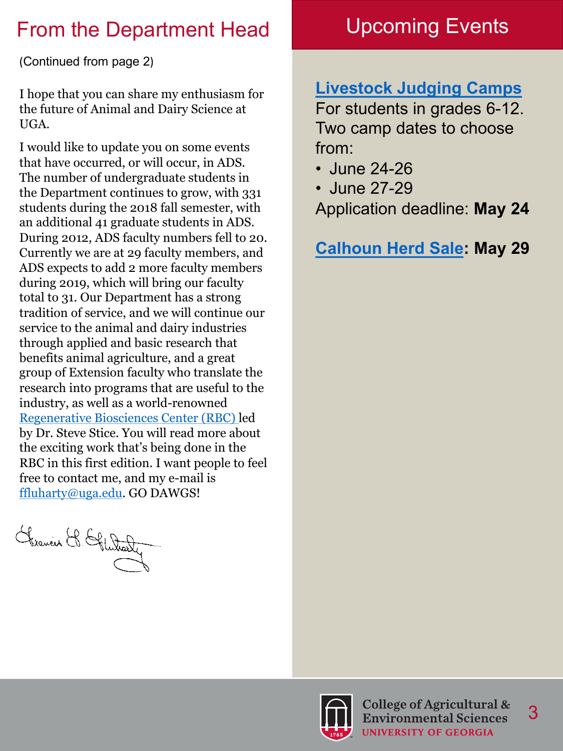## From the Department Head Upcoming Events

(Continued from page 2)

I hope that you can share my enthusiasm for the future of Animal and Dairy Science at UGA.

I would like to update you on some events that have occurred, or will occur, in ADS. The number of undergraduate students in the Department continues to grow, with 331 students during the 2018 fall semester, with an additional 41 graduate students in ADS. During 2012, ADS faculty numbers fell to 20. Currently we are at 29 faculty members, and ADS expects to add 2 more faculty members during 2019, which will bring our faculty total to 31. Our Department has a strong tradition of service, and we will continue our service to the animal and dairy industries through applied and basic research that benefits animal agriculture, and a great group of Extension faculty who translate the research into programs that are useful to the industry, as well as a world-renowned [Regenerative Biosciences Center \(RBC\) l](http://rbc.uga.edu/index.html)ed by Dr. Steve Stice. You will read more about the exciting work that's being done in the RBC in this first edition. I want people to feel free to contact me, and my e-mail is [ffluharty@uga.edu](mailto:ffluharty@uga.edu). GO DAWGS!

Chranier & Glutaly

#### **[Livestock Judging Camps](http://www.caes.uga.edu/students/prospective-students/youth-high-school-programs/livestock-judging-camp.html)**

For students in grades 6-12. Two camp dates to choose from:

- June 24-26
- June 27-29

Application deadline: **May 24**

**[Calhoun Herd Sale:](http://beef.caes.uga.edu/programs/georgia-heifer-evaluation-and-reproductive-development-herd-pr.html) May 29**

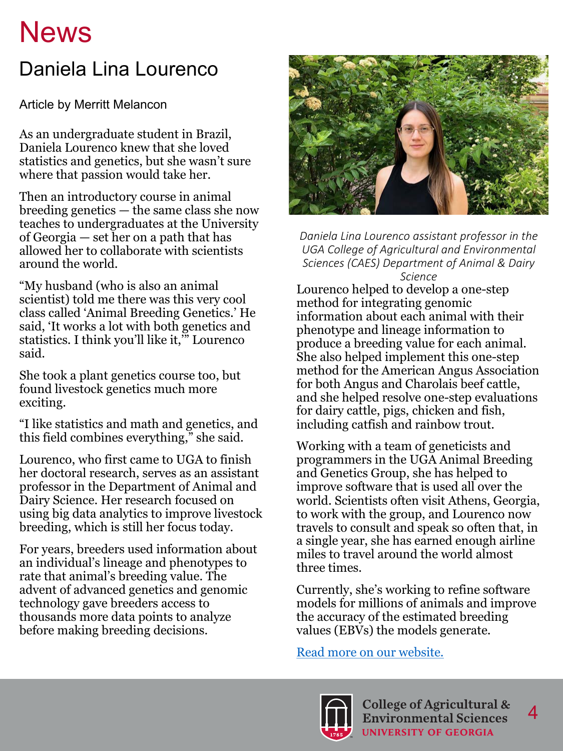# **News**

## Daniela Lina Lourenco

Article by Merritt Melancon

As an undergraduate student in Brazil, Daniela Lourenco knew that she loved statistics and genetics, but she wasn't sure where that passion would take her.

Then an introductory course in animal breeding genetics — the same class she now teaches to undergraduates at the University of Georgia — set her on a path that has allowed her to collaborate with scientists around the world.

"My husband (who is also an animal scientist) told me there was this very cool class called 'Animal Breeding Genetics.' He said, 'It works a lot with both genetics and statistics. I think you'll like it,'" Lourenco said.

She took a plant genetics course too, but found livestock genetics much more exciting.

"I like statistics and math and genetics, and this field combines everything," she said.

Lourenco, who first came to UGA to finish her doctoral research, serves as an assistant professor in the Department of Animal and Dairy Science. Her research focused on using big data analytics to improve livestock breeding, which is still her focus today.

For years, breeders used information about an individual's lineage and phenotypes to rate that animal's breeding value. The advent of advanced genetics and genomic technology gave breeders access to thousands more data points to analyze before making breeding decisions.



Daniela Lina Lourenco assistant professor in the UGA College of Agricultural and Environmental *Sciences (CAES) Department of Animal & Dairy Science*

Lourenco helped to develop a one-step method for integrating genomic information about each animal with their phenotype and lineage information to produce a breeding value for each animal. She also helped implement this one-step method for the American Angus Association for both Angus and Charolais beef cattle, and she helped resolve one-step evaluations for dairy cattle, pigs, chicken and fish, including catfish and rainbow trout.

Working with a team of geneticists and programmers in the UGA Animal Breeding and Genetics Group, she has helped to improve software that is used all over the world. Scientists often visit Athens, Georgia, to work with the group, and Lourenco now travels to consult and speak so often that, in a single year, she has earned enough airline miles to travel around the world almost three times.

Currently, she's working to refine software models for millions of animals and improve the accuracy of the estimated breeding values (EBVs) the models generate.

[Read more on our website.](http://www.caes.uga.edu/news-events/news/story.html?storyid=7967&story=Livestock-Genetics)



4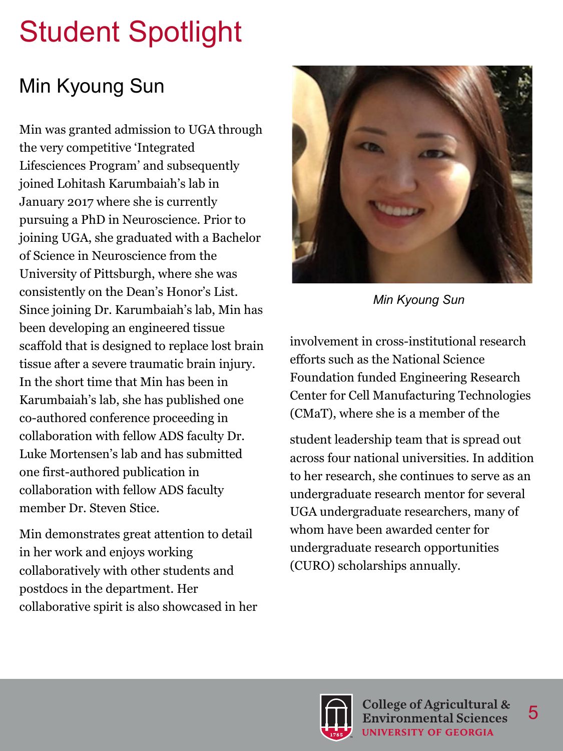# Student Spotlight

## Min Kyoung Sun

Min was granted admission to UGA through the very competitive 'Integrated Lifesciences Program' and subsequently joined Lohitash Karumbaiah's lab in January 2017 where she is currently pursuing a PhD in Neuroscience. Prior to joining UGA, she graduated with a Bachelor of Science in Neuroscience from the University of Pittsburgh, where she was consistently on the Dean's Honor's List. Since joining Dr. Karumbaiah's lab, Min has been developing an engineered tissue scaffold that is designed to replace lost brain tissue after a severe traumatic brain injury. In the short time that Min has been in Karumbaiah's lab, she has published one co-authored conference proceeding in collaboration with fellow ADS faculty Dr. Luke Mortensen's lab and has submitted one first-authored publication in collaboration with fellow ADS faculty member Dr. Steven Stice.

Min demonstrates great attention to detail in her work and enjoys working collaboratively with other students and postdocs in the department. Her collaborative spirit is also showcased in her



*Min Kyoung Sun*

involvement in cross-institutional research efforts such as the National Science Foundation funded Engineering Research Center for Cell Manufacturing Technologies (CMaT), where she is a member of the

student leadership team that is spread out across four national universities. In addition to her research, she continues to serve as an undergraduate research mentor for several UGA undergraduate researchers, many of whom have been awarded center for undergraduate research opportunities (CURO) scholarships annually.



5